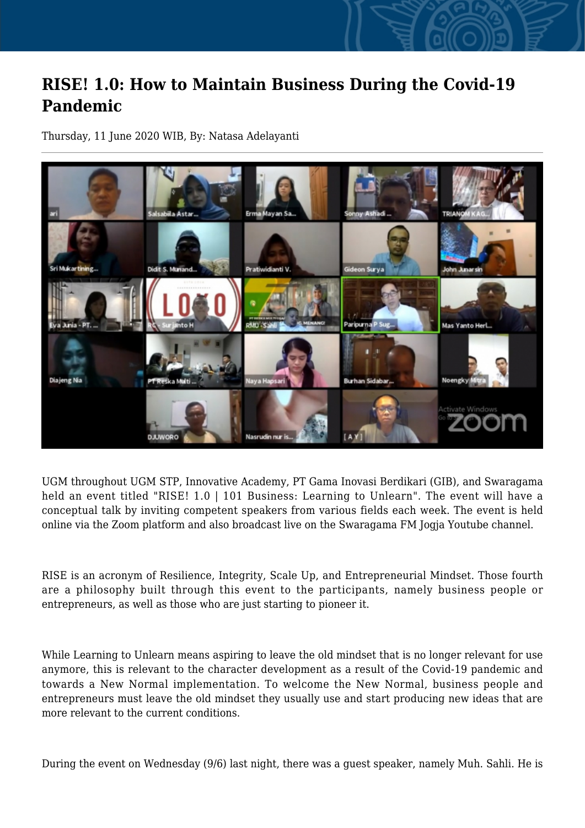## **RISE! 1.0: How to Maintain Business During the Covid-19 Pandemic**

Thursday, 11 June 2020 WIB, By: Natasa Adelayanti



UGM throughout UGM STP, Innovative Academy, PT Gama Inovasi Berdikari (GIB), and Swaragama held an event titled "RISE! 1.0 | 101 Business: Learning to Unlearn". The event will have a conceptual talk by inviting competent speakers from various fields each week. The event is held online via the Zoom platform and also broadcast live on the Swaragama FM Jogja Youtube channel.

RISE is an acronym of Resilience, Integrity, Scale Up, and Entrepreneurial Mindset. Those fourth are a philosophy built through this event to the participants, namely business people or entrepreneurs, as well as those who are just starting to pioneer it.

While Learning to Unlearn means aspiring to leave the old mindset that is no longer relevant for use anymore, this is relevant to the character development as a result of the Covid-19 pandemic and towards a New Normal implementation. To welcome the New Normal, business people and entrepreneurs must leave the old mindset they usually use and start producing new ideas that are more relevant to the current conditions.

During the event on Wednesday (9/6) last night, there was a guest speaker, namely Muh. Sahli. He is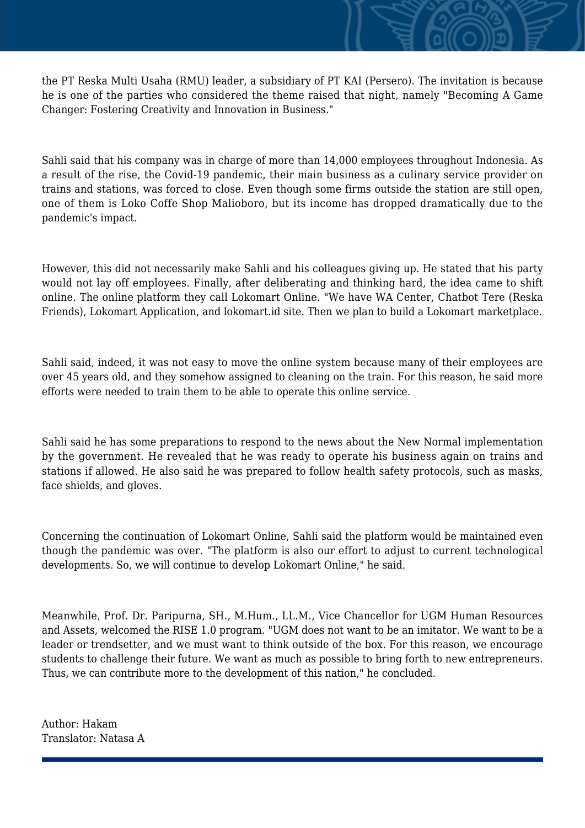the PT Reska Multi Usaha (RMU) leader, a subsidiary of PT KAI (Persero). The invitation is because he is one of the parties who considered the theme raised that night, namely "Becoming A Game Changer: Fostering Creativity and Innovation in Business."

Sahli said that his company was in charge of more than 14,000 employees throughout Indonesia. As a result of the rise, the Covid-19 pandemic, their main business as a culinary service provider on trains and stations, was forced to close. Even though some firms outside the station are still open, one of them is Loko Coffe Shop Malioboro, but its income has dropped dramatically due to the pandemic's impact.

However, this did not necessarily make Sahli and his colleagues giving up. He stated that his party would not lay off employees. Finally, after deliberating and thinking hard, the idea came to shift online. The online platform they call Lokomart Online. "We have WA Center, Chatbot Tere (Reska Friends), Lokomart Application, and lokomart.id site. Then we plan to build a Lokomart marketplace.

Sahli said, indeed, it was not easy to move the online system because many of their employees are over 45 years old, and they somehow assigned to cleaning on the train. For this reason, he said more efforts were needed to train them to be able to operate this online service.

Sahli said he has some preparations to respond to the news about the New Normal implementation by the government. He revealed that he was ready to operate his business again on trains and stations if allowed. He also said he was prepared to follow health safety protocols, such as masks, face shields, and gloves.

Concerning the continuation of Lokomart Online, Sahli said the platform would be maintained even though the pandemic was over. "The platform is also our effort to adjust to current technological developments. So, we will continue to develop Lokomart Online," he said.

Meanwhile, Prof. Dr. Paripurna, SH., M.Hum., LL.M., Vice Chancellor for UGM Human Resources and Assets, welcomed the RISE 1.0 program. "UGM does not want to be an imitator. We want to be a leader or trendsetter, and we must want to think outside of the box. For this reason, we encourage students to challenge their future. We want as much as possible to bring forth to new entrepreneurs. Thus, we can contribute more to the development of this nation," he concluded.

Author: Hakam Translator: Natasa A